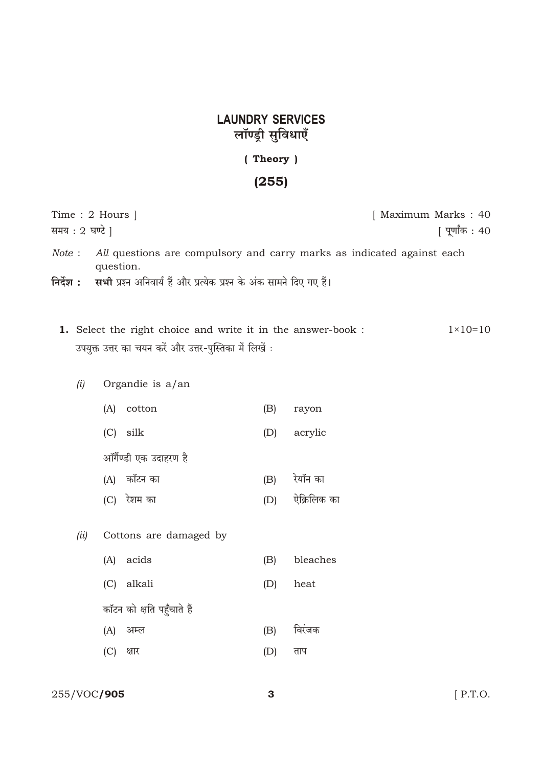## **LAUNDRY SERVICES** लॉण्ड्री सुविधाएँ

## (Theory)

## $(255)$

| Time : 2 Hours                                                                                                                 | [ Maximum Marks : 40 |
|--------------------------------------------------------------------------------------------------------------------------------|----------------------|
| समय : 2 घण्टे ]                                                                                                                | [ पूर्णांक : 40      |
| All questions are compulsory and carry marks as indicated against each<br>Note:<br>question.                                   |                      |
| निर्देश :<br>सभी प्रश्न अनिवार्य हैं और प्रत्येक प्रश्न के अंक सामने दिए गए हैं।                                               |                      |
| <b>1.</b> Select the right choice and write it in the answer-book :<br>उपयुक्त उत्तर का चयन करें और उत्तर-पुस्तिका में लिखें : | $1 \times 10 = 10$   |
| (i)<br>Organdie is $a$ /an                                                                                                     |                      |

| ιJ | $\sigma$ organum is a an |  |  |
|----|--------------------------|--|--|
|    |                          |  |  |

| (A)                    | cotton     | (B) | rayon    |  |  |  |
|------------------------|------------|-----|----------|--|--|--|
|                        | $(C)$ silk | (D) | acrylic  |  |  |  |
| ऑर्गैण्डी एक उदाहरण है |            |     |          |  |  |  |
| (A)                    | कॉटन का    | (B) | रेयॉन का |  |  |  |
|                        |            |     | 10 C     |  |  |  |

- (C) रेशम का  $(D)$ ऐक्रिलिक का
- (ii) Cottons are damaged by
	- (A) acids  $(B)$ bleaches
	- (C) alkali  $(D)$
	- कॉटन को क्षति पहुँचाते हैं
	- (A) अम्ल विरंजक  $(B)$
	- (C) क्षार  $(D)$ ताप

heat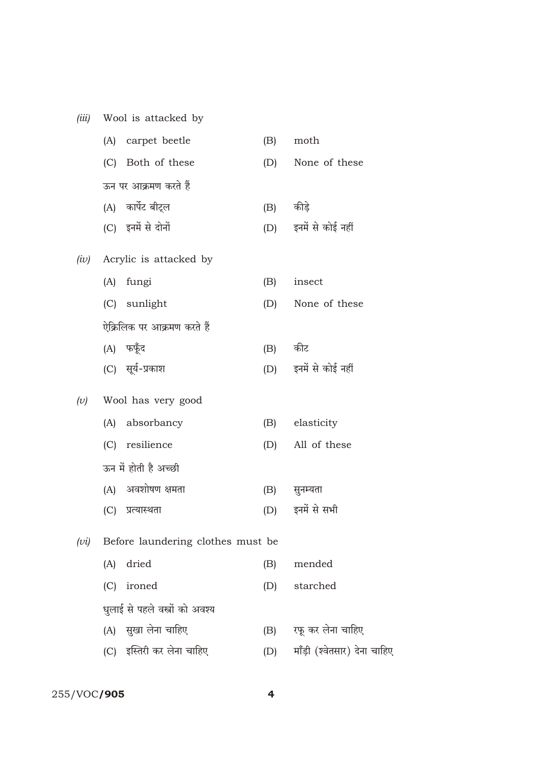| (iii)   |                                   | Wool is attacked by             |           |                              |  |  |
|---------|-----------------------------------|---------------------------------|-----------|------------------------------|--|--|
|         |                                   | (A) carpet beetle               | (B)       | moth                         |  |  |
|         |                                   | (C) Both of these               | (D)       | None of these                |  |  |
|         |                                   | ऊन पर आक्रमण करते हैं           |           |                              |  |  |
|         |                                   | (A) कार्पेट बीट्ल               | (B) कीड़े |                              |  |  |
|         |                                   | (C) इनमें से दोनों              |           | (D) इनमें से कोई नहीं        |  |  |
| (iv)    |                                   | Acrylic is attacked by          |           |                              |  |  |
|         | (A)                               | fungi                           | (B)       | insect                       |  |  |
|         |                                   | (C) sunlight                    | (D)       | None of these                |  |  |
|         |                                   | ऐक्रिलिक पर आक्रमण करते हैं     |           |                              |  |  |
|         |                                   | (A) फफूँद                       | (B) कीट   |                              |  |  |
|         |                                   | (C) सूर्य-प्रकाश                |           | (D) इनमें से कोई नहीं        |  |  |
| $(\nu)$ | Wool has very good                |                                 |           |                              |  |  |
|         |                                   | (A) absorbancy                  | (B)       | elasticity                   |  |  |
|         |                                   | (C) resilience                  | (D)       | All of these                 |  |  |
|         |                                   | ऊन में होती है अच्छी            |           |                              |  |  |
|         |                                   | (A) अवशोषण क्षमता               | (B)       | सुनम्यता                     |  |  |
|         |                                   | (C) प्रत्यास्थता                | (D)       | इनमें से सभी                 |  |  |
| (vi)    | Before laundering clothes must be |                                 |           |                              |  |  |
|         | (A)                               | dried                           | (B)       | mended                       |  |  |
|         | (C)                               | ironed                          | (D)       | starched                     |  |  |
|         |                                   | धुलाई से पहले वस्त्रों को अवश्य |           |                              |  |  |
|         |                                   | (A) सुखा लेना चाहिए             | (B)       | रफू कर लेना चाहिए            |  |  |
|         |                                   | (C) इस्तिरी कर लेना चाहिए       | (D)       | माँड़ी (श्वेतसार) देना चाहिए |  |  |

255/VOC/905 4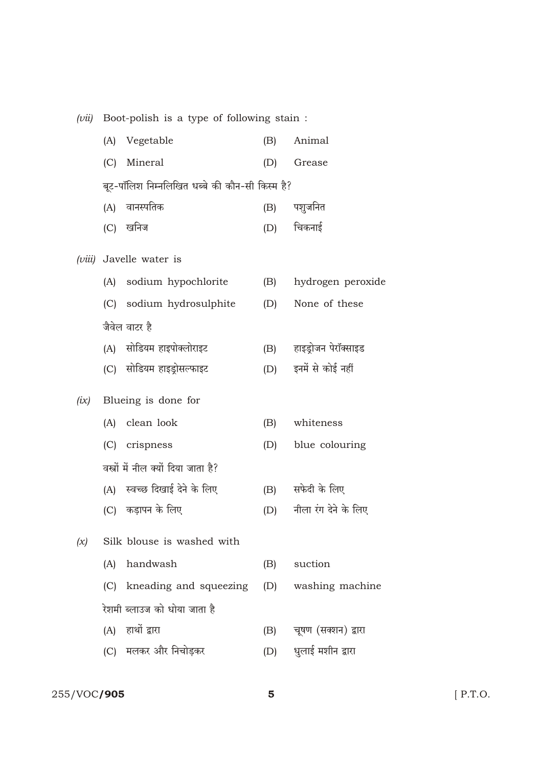|  | $(vii)$ Boot-polish is a type of following stain: |  |  |  |  |
|--|---------------------------------------------------|--|--|--|--|
|  |                                                   |  |  |  |  |

|        | (A)                                            | Vegetable                            | (B) | Animal               |  |  |  |  |
|--------|------------------------------------------------|--------------------------------------|-----|----------------------|--|--|--|--|
|        | (C)                                            | Mineral                              | (D) | Grease               |  |  |  |  |
|        | बूट-पॉलिश निम्नलिखित धब्बे की कौन-सी किस्म है? |                                      |     |                      |  |  |  |  |
|        | (A)                                            | वानस्पतिक                            | (B) | पशुजनित              |  |  |  |  |
|        |                                                | (C) खनिज                             | (D) | चिकनाई               |  |  |  |  |
| (viii) |                                                | Javelle water is                     |     |                      |  |  |  |  |
|        |                                                | (A) sodium hypochlorite              | (B) | hydrogen peroxide    |  |  |  |  |
|        |                                                | (C) sodium hydrosulphite             | (D) | None of these        |  |  |  |  |
|        |                                                | जैवेल वाटर है                        |     |                      |  |  |  |  |
|        |                                                | (A) सोडियम हाइपोक्लोराइट             | (B) | हाइड़ोजन पेरॉक्साइड  |  |  |  |  |
|        |                                                | (C) सोडियम हाइड्रोसल्फाइट            | (D) | इनमें से कोई नहीं    |  |  |  |  |
| (ix)   |                                                | Blueing is done for                  |     |                      |  |  |  |  |
|        |                                                | (A) clean look                       | (B) | whiteness            |  |  |  |  |
|        |                                                | (C) crispness                        | (D) | blue colouring       |  |  |  |  |
|        |                                                | वस्त्रों में नील क्यों दिया जाता है? |     |                      |  |  |  |  |
|        |                                                | (A) स्वच्छ दिखाई देने के लिए         | (B) | सफेदी के लिए         |  |  |  |  |
|        |                                                | (C) कड़ापन के लिए                    | (D) | नीला रंग देने के लिए |  |  |  |  |
| (x)    |                                                | Silk blouse is washed with           |     |                      |  |  |  |  |
|        | (A)                                            | handwash                             | (B) | suction              |  |  |  |  |
|        | (C)                                            | kneading and squeezing               | (D) | washing machine      |  |  |  |  |
|        |                                                | रेशमी ब्लाउज को धोया जाता है         |     |                      |  |  |  |  |
|        |                                                | (A) हाथों द्वारा                     | (B) | चूषण (सक्शन) द्वारा  |  |  |  |  |
|        |                                                |                                      |     |                      |  |  |  |  |

(C) मलकर और निचोड़कर धुलाई मशीन द्वारा  $(D)$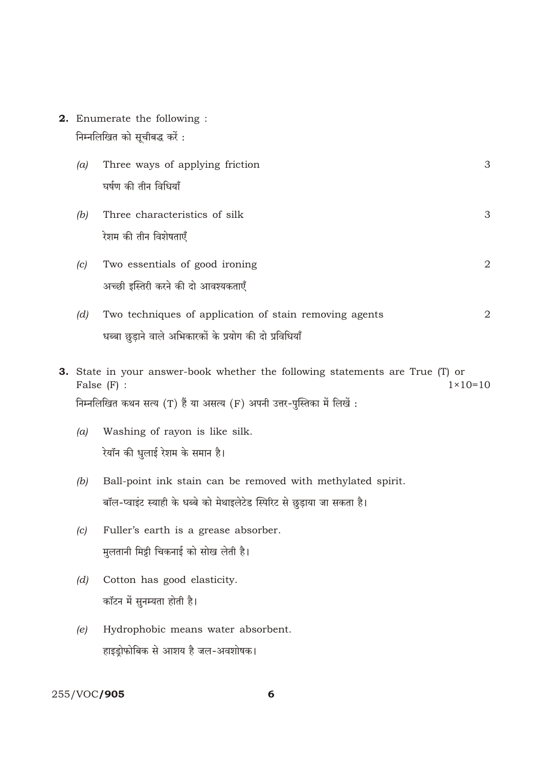2. Enumerate the following : निम्नलिखित को सूचीबद्ध करें:

| (a) | Three ways of applying friction                         | 3 |
|-----|---------------------------------------------------------|---|
|     | घर्षण की तीन विधियाँ                                    |   |
| (b) | Three characteristics of silk                           | 3 |
|     | रेशम की तीन विशेषताएँ                                   |   |
| (c) | Two essentials of good ironing                          | 2 |
|     | अच्छी इस्तिरी करने की दो आवश्यकताएँ                     |   |
| (d) | Two techniques of application of stain removing agents  | 2 |
|     | धब्बा छुड़ाने वाले अभिकारकों के प्रयोग की दो प्रविधियाँ |   |

- 3. State in your answer-book whether the following statements are True (T) or  $1 \times 10 = 10$ False  $(F)$  : निम्नलिखित कथन सत्य (T) हैं या असत्य (F) अपनी उत्तर-पुस्तिका में लिखें :
	- Washing of rayon is like silk.  $(a)$ रेयॉन की धुलाई रेशम के समान है।
	- Ball-point ink stain can be removed with methylated spirit.  $(b)$ बॉल-प्वाइंट स्याही के धब्बे को मेथाइलेटेड स्पिरिट से छुड़ाया जा सकता है।
	- Fuller's earth is a grease absorber.  $(c)$ मुलतानी मिट्टी चिकनाई को सोख लेती है।
	- Cotton has good elasticity.  $(d)$ कॉटन में सुनम्यता होती है।
	- Hydrophobic means water absorbent.  $(e)$ हाइड्रोफोबिक से आशय है जल-अवशोषक।

## 255/VOC/905